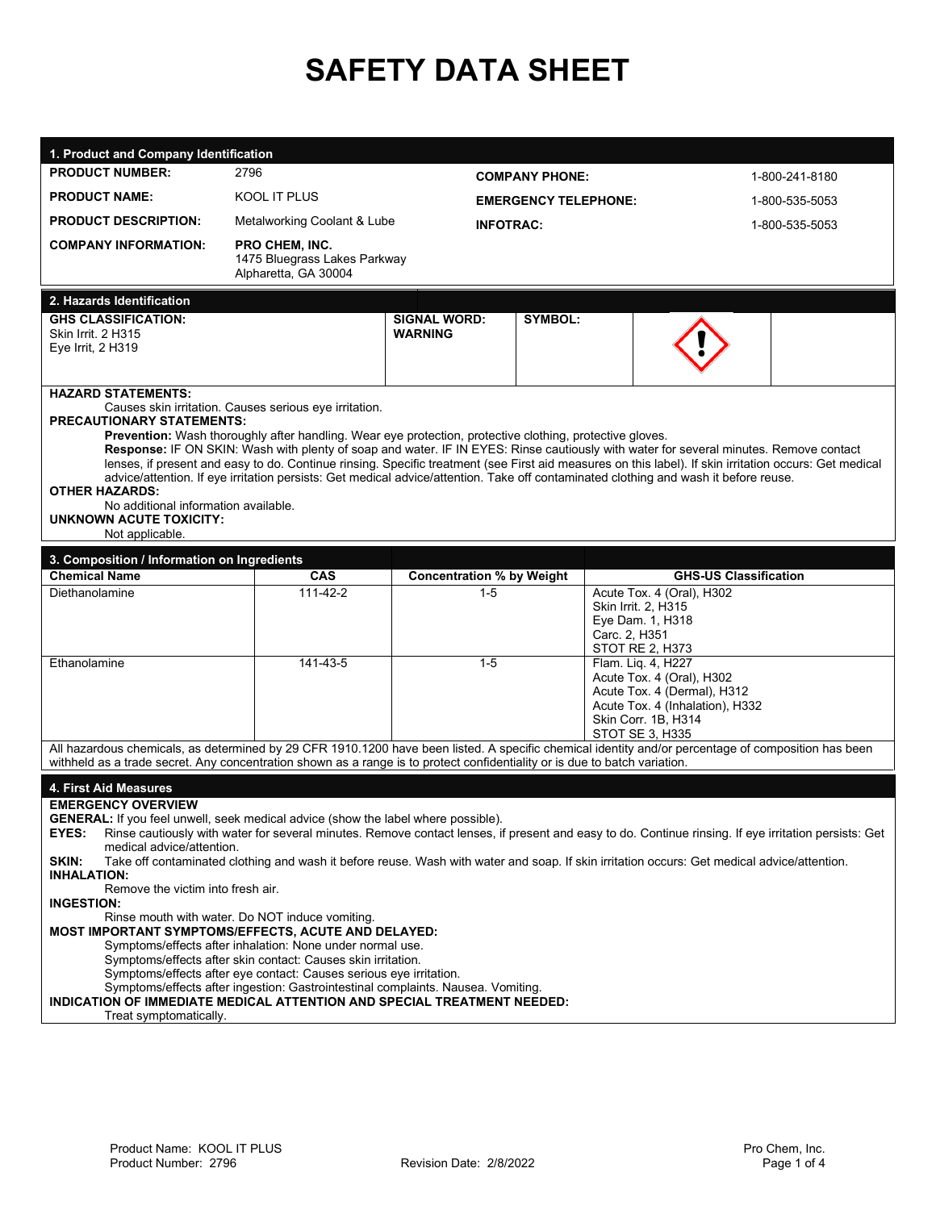# **SAFETY DATA SHEET**

| 1. Product and Company Identification<br><b>PRODUCT NUMBER:</b>                                                                                                                                                                                                                                                                                                                                                                                                                                                                                                                                                                                                                                                                                                                                                                                                                                                                                                                                                                                                   | 2796                                                                                                     |                                       |                             |                                                                                                                                                                                                                                                                                                                                                                                                                                         |
|-------------------------------------------------------------------------------------------------------------------------------------------------------------------------------------------------------------------------------------------------------------------------------------------------------------------------------------------------------------------------------------------------------------------------------------------------------------------------------------------------------------------------------------------------------------------------------------------------------------------------------------------------------------------------------------------------------------------------------------------------------------------------------------------------------------------------------------------------------------------------------------------------------------------------------------------------------------------------------------------------------------------------------------------------------------------|----------------------------------------------------------------------------------------------------------|---------------------------------------|-----------------------------|-----------------------------------------------------------------------------------------------------------------------------------------------------------------------------------------------------------------------------------------------------------------------------------------------------------------------------------------------------------------------------------------------------------------------------------------|
| <b>PRODUCT NAME:</b>                                                                                                                                                                                                                                                                                                                                                                                                                                                                                                                                                                                                                                                                                                                                                                                                                                                                                                                                                                                                                                              | KOOL IT PLUS                                                                                             |                                       | <b>COMPANY PHONE:</b>       | 1-800-241-8180                                                                                                                                                                                                                                                                                                                                                                                                                          |
|                                                                                                                                                                                                                                                                                                                                                                                                                                                                                                                                                                                                                                                                                                                                                                                                                                                                                                                                                                                                                                                                   |                                                                                                          |                                       | <b>EMERGENCY TELEPHONE:</b> | 1-800-535-5053                                                                                                                                                                                                                                                                                                                                                                                                                          |
| <b>PRODUCT DESCRIPTION:</b>                                                                                                                                                                                                                                                                                                                                                                                                                                                                                                                                                                                                                                                                                                                                                                                                                                                                                                                                                                                                                                       | Metalworking Coolant & Lube                                                                              | <b>INFOTRAC:</b>                      |                             | 1-800-535-5053                                                                                                                                                                                                                                                                                                                                                                                                                          |
| <b>COMPANY INFORMATION:</b>                                                                                                                                                                                                                                                                                                                                                                                                                                                                                                                                                                                                                                                                                                                                                                                                                                                                                                                                                                                                                                       | PRO CHEM, INC.<br>1475 Bluegrass Lakes Parkway<br>Alpharetta, GA 30004                                   |                                       |                             |                                                                                                                                                                                                                                                                                                                                                                                                                                         |
| 2. Hazards Identification                                                                                                                                                                                                                                                                                                                                                                                                                                                                                                                                                                                                                                                                                                                                                                                                                                                                                                                                                                                                                                         |                                                                                                          |                                       |                             |                                                                                                                                                                                                                                                                                                                                                                                                                                         |
| <b>GHS CLASSIFICATION:</b><br>Skin Irrit. 2 H315<br>Eye Irrit, 2 H319                                                                                                                                                                                                                                                                                                                                                                                                                                                                                                                                                                                                                                                                                                                                                                                                                                                                                                                                                                                             |                                                                                                          | <b>SIGNAL WORD:</b><br><b>WARNING</b> | SYMBOL:                     |                                                                                                                                                                                                                                                                                                                                                                                                                                         |
| <b>HAZARD STATEMENTS:</b>                                                                                                                                                                                                                                                                                                                                                                                                                                                                                                                                                                                                                                                                                                                                                                                                                                                                                                                                                                                                                                         |                                                                                                          |                                       |                             |                                                                                                                                                                                                                                                                                                                                                                                                                                         |
| <b>PRECAUTIONARY STATEMENTS:</b>                                                                                                                                                                                                                                                                                                                                                                                                                                                                                                                                                                                                                                                                                                                                                                                                                                                                                                                                                                                                                                  | Causes skin irritation. Causes serious eye irritation.                                                   |                                       |                             |                                                                                                                                                                                                                                                                                                                                                                                                                                         |
| <b>OTHER HAZARDS:</b><br>No additional information available.<br>UNKNOWN ACUTE TOXICITY:<br>Not applicable.                                                                                                                                                                                                                                                                                                                                                                                                                                                                                                                                                                                                                                                                                                                                                                                                                                                                                                                                                       | Prevention: Wash thoroughly after handling. Wear eye protection, protective clothing, protective gloves. |                                       |                             | Response: IF ON SKIN: Wash with plenty of soap and water. IF IN EYES: Rinse cautiously with water for several minutes. Remove contact<br>lenses, if present and easy to do. Continue rinsing. Specific treatment (see First aid measures on this label). If skin irritation occurs: Get medical<br>advice/attention. If eye irritation persists: Get medical advice/attention. Take off contaminated clothing and wash it before reuse. |
| 3. Composition / Information on Ingredients                                                                                                                                                                                                                                                                                                                                                                                                                                                                                                                                                                                                                                                                                                                                                                                                                                                                                                                                                                                                                       |                                                                                                          |                                       |                             |                                                                                                                                                                                                                                                                                                                                                                                                                                         |
| <b>Chemical Name</b>                                                                                                                                                                                                                                                                                                                                                                                                                                                                                                                                                                                                                                                                                                                                                                                                                                                                                                                                                                                                                                              | <b>CAS</b>                                                                                               | <b>Concentration % by Weight</b>      |                             | <b>GHS-US Classification</b>                                                                                                                                                                                                                                                                                                                                                                                                            |
| Diethanolamine                                                                                                                                                                                                                                                                                                                                                                                                                                                                                                                                                                                                                                                                                                                                                                                                                                                                                                                                                                                                                                                    | 111-42-2                                                                                                 | $1 - 5$                               |                             | Acute Tox. 4 (Oral), H302<br>Skin Irrit. 2, H315<br>Eye Dam. 1, H318<br>Carc. 2, H351<br><b>STOT RE 2, H373</b>                                                                                                                                                                                                                                                                                                                         |
| Ethanolamine                                                                                                                                                                                                                                                                                                                                                                                                                                                                                                                                                                                                                                                                                                                                                                                                                                                                                                                                                                                                                                                      | 141-43-5                                                                                                 | $1 - 5$                               |                             | Flam. Liq. 4, H227<br>Acute Tox. 4 (Oral), H302<br>Acute Tox. 4 (Dermal), H312<br>Acute Tox. 4 (Inhalation), H332<br>Skin Corr. 1B, H314<br>STOT SE 3. H335                                                                                                                                                                                                                                                                             |
| withheld as a trade secret. Any concentration shown as a range is to protect confidentiality or is due to batch variation.                                                                                                                                                                                                                                                                                                                                                                                                                                                                                                                                                                                                                                                                                                                                                                                                                                                                                                                                        |                                                                                                          |                                       |                             | All hazardous chemicals, as determined by 29 CFR 1910.1200 have been listed. A specific chemical identity and/or percentage of composition has been                                                                                                                                                                                                                                                                                     |
| 4. First Aid Measures                                                                                                                                                                                                                                                                                                                                                                                                                                                                                                                                                                                                                                                                                                                                                                                                                                                                                                                                                                                                                                             |                                                                                                          |                                       |                             |                                                                                                                                                                                                                                                                                                                                                                                                                                         |
| <b>EMERGENCY OVERVIEW</b><br>GENERAL: If you feel unwell, seek medical advice (show the label where possible).<br>Rinse cautiously with water for several minutes. Remove contact lenses, if present and easy to do. Continue rinsing. If eye irritation persists: Get<br><b>EYES:</b><br>medical advice/attention.<br>SKIN:<br>Take off contaminated clothing and wash it before reuse. Wash with water and soap. If skin irritation occurs: Get medical advice/attention.<br><b>INHALATION:</b><br>Remove the victim into fresh air.<br><b>INGESTION:</b><br>Rinse mouth with water. Do NOT induce vomiting.<br>MOST IMPORTANT SYMPTOMS/EFFECTS, ACUTE AND DELAYED:<br>Symptoms/effects after inhalation: None under normal use.<br>Symptoms/effects after skin contact: Causes skin irritation.<br>Symptoms/effects after eye contact: Causes serious eye irritation.<br>Symptoms/effects after ingestion: Gastrointestinal complaints. Nausea. Vomiting.<br>INDICATION OF IMMEDIATE MEDICAL ATTENTION AND SPECIAL TREATMENT NEEDED:<br>Treat symptomatically. |                                                                                                          |                                       |                             |                                                                                                                                                                                                                                                                                                                                                                                                                                         |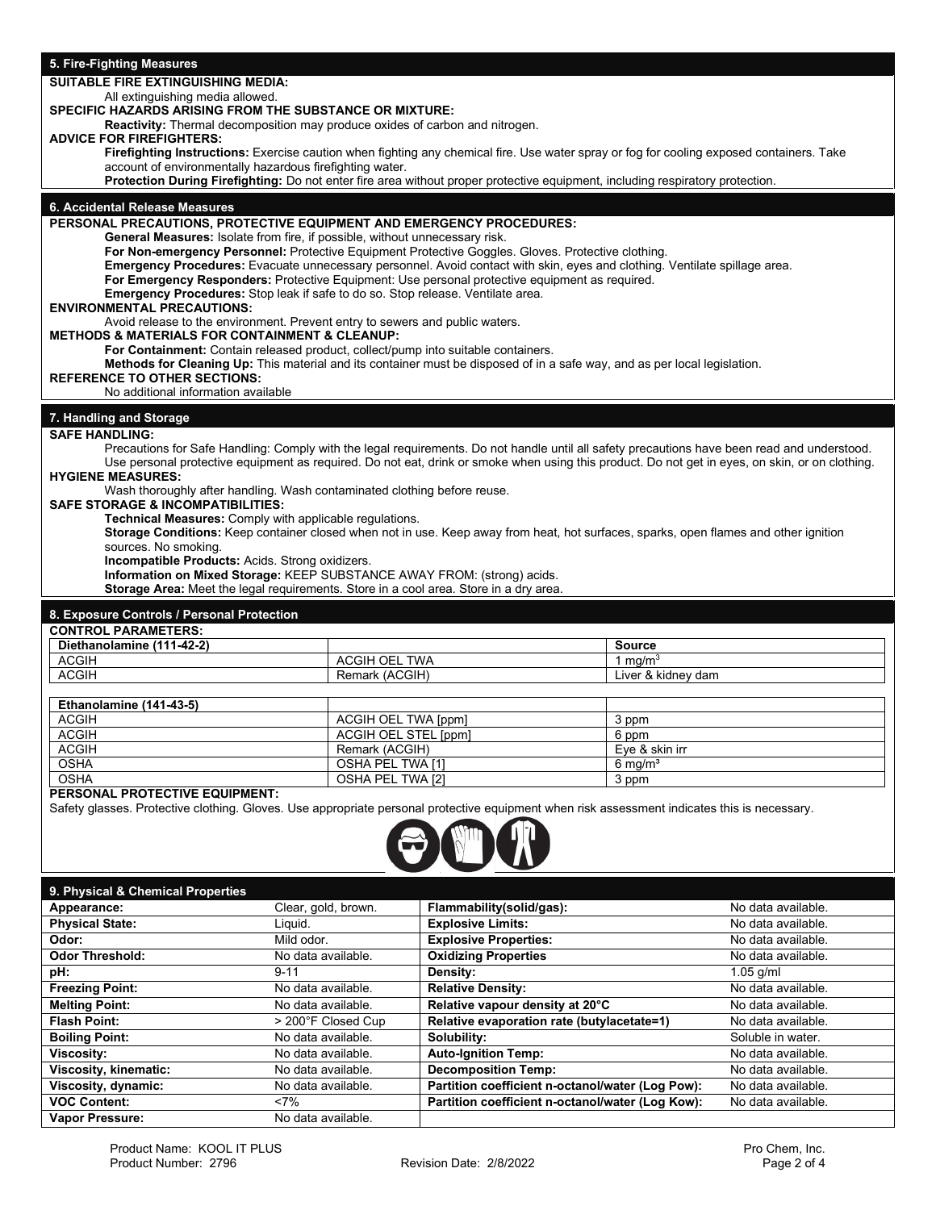#### **5. Fire-Fighting Measures**

# **SUITABLE FIRE EXTINGUISHING MEDIA:**

#### All extinguishing media allowed. **SPECIFIC HAZARDS ARISING FROM THE SUBSTANCE OR MIXTURE:**

**Reactivity:** Thermal decomposition may produce oxides of carbon and nitrogen.

## **ADVICE FOR FIREFIGHTERS:**

**Firefighting Instructions:** Exercise caution when fighting any chemical fire. Use water spray or fog for cooling exposed containers. Take account of environmentally hazardous firefighting water.

**Protection During Firefighting:** Do not enter fire area without proper protective equipment, including respiratory protection.

#### **6. Accidental Release Measures**

#### **PERSONAL PRECAUTIONS, PROTECTIVE EQUIPMENT AND EMERGENCY PROCEDURES:**

**General Measures:** Isolate from fire, if possible, without unnecessary risk.

**For Non-emergency Personnel:** Protective Equipment Protective Goggles. Gloves. Protective clothing.

**Emergency Procedures:** Evacuate unnecessary personnel. Avoid contact with skin, eyes and clothing. Ventilate spillage area.

**For Emergency Responders:** Protective Equipment: Use personal protective equipment as required.

**Emergency Procedures:** Stop leak if safe to do so. Stop release. Ventilate area.

#### **ENVIRONMENTAL PRECAUTIONS:**

Avoid release to the environment. Prevent entry to sewers and public waters.

#### **METHODS & MATERIALS FOR CONTAINMENT & CLEANUP:**

**For Containment:** Contain released product, collect/pump into suitable containers.

**Methods for Cleaning Up:** This material and its container must be disposed of in a safe way, and as per local legislation.

#### **REFERENCE TO OTHER SECTIONS:**

No additional information available

### **7. Handling and Storage**

#### **SAFE HANDLING:**

Precautions for Safe Handling: Comply with the legal requirements. Do not handle until all safety precautions have been read and understood. Use personal protective equipment as required. Do not eat, drink or smoke when using this product. Do not get in eyes, on skin, or on clothing. **HYGIENE MEASURES:**

Wash thoroughly after handling. Wash contaminated clothing before reuse.

#### **SAFE STORAGE & INCOMPATIBILITIES:**

**Technical Measures:** Comply with applicable regulations.

**Storage Conditions:** Keep container closed when not in use. Keep away from heat, hot surfaces, sparks, open flames and other ignition sources. No smoking.

**Incompatible Products:** Acids. Strong oxidizers.

**Information on Mixed Storage:** KEEP SUBSTANCE AWAY FROM: (strong) acids.

**Storage Area:** Meet the legal requirements. Store in a cool area. Store in a dry area.

#### **8. Exposure Controls / Personal Protection**

| <b>CONTROL PARAMETERS:</b> |                  |                    |
|----------------------------|------------------|--------------------|
| Diethanolamine (111-42-2)  |                  | <b>Source</b>      |
| <b>ACGIH</b>               | TWA<br>ACGIH OEL | ma/m <sup>o</sup>  |
| <b>ACGIH</b>               | Remark (ACGIH)   | Liver & kidney dam |
|                            |                  |                    |

| Ethanolamine (141-43-5) |                      |                    |
|-------------------------|----------------------|--------------------|
| <b>ACGIH</b>            | ACGIH OEL TWA [ppm]  | 3 ppm              |
| <b>ACGIH</b>            | ACGIH OEL STEL [ppm] | 6 ppm              |
| <b>ACGIH</b>            | Remark (ACGIH)       | Eve & skin irr     |
| <b>OSHA</b>             | OSHA PEL TWA [1]     | $6 \text{ ma/m}^3$ |
| <b>OSHA</b>             | OSHA PEL TWA [2]     | 3 ppm              |

#### **PERSONAL PROTECTIVE EQUIPMENT:**

Safety glasses. Protective clothing. Gloves. Use appropriate personal protective equipment when risk assessment indicates this is necessary.



#### **9. Physical & Chemical Properties**

| Appearance:            | Clear, gold, brown. | Flammability(solid/gas):                         | No data available. |
|------------------------|---------------------|--------------------------------------------------|--------------------|
| <b>Physical State:</b> | Liquid.             | <b>Explosive Limits:</b>                         | No data available. |
| Odor:                  | Mild odor.          | <b>Explosive Properties:</b>                     | No data available. |
| <b>Odor Threshold:</b> | No data available.  | <b>Oxidizing Properties</b>                      | No data available. |
| pH:                    | $9 - 11$            | Density:                                         | $1.05$ g/ml        |
| <b>Freezing Point:</b> | No data available.  | <b>Relative Density:</b>                         | No data available. |
| <b>Melting Point:</b>  | No data available.  | Relative vapour density at 20°C                  | No data available. |
| <b>Flash Point:</b>    | > 200°F Closed Cup  | Relative evaporation rate (butylacetate=1)       | No data available. |
| <b>Boiling Point:</b>  | No data available.  | Solubility:                                      | Soluble in water.  |
| <b>Viscosity:</b>      | No data available.  | <b>Auto-Ignition Temp:</b>                       | No data available. |
| Viscosity, kinematic:  | No data available.  | <b>Decomposition Temp:</b>                       | No data available. |
| Viscosity, dynamic:    | No data available.  | Partition coefficient n-octanol/water (Log Pow): | No data available. |
| <b>VOC Content:</b>    | $< 7\%$             | Partition coefficient n-octanol/water (Log Kow): | No data available. |
| Vapor Pressure:        | No data available.  |                                                  |                    |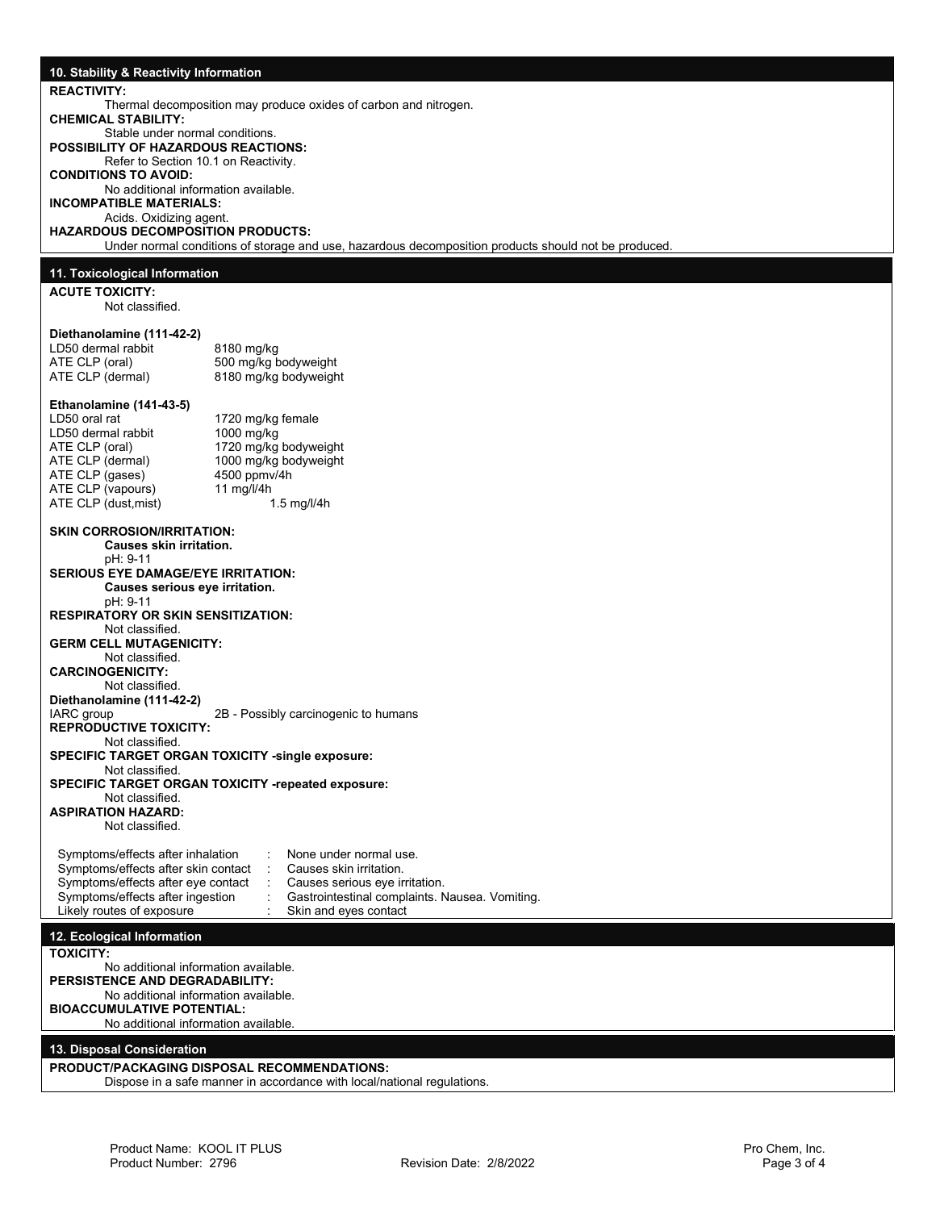| 10. Stability & Reactivity Information                                   |                                                                                                                        |
|--------------------------------------------------------------------------|------------------------------------------------------------------------------------------------------------------------|
| <b>REACTIVITY:</b>                                                       |                                                                                                                        |
|                                                                          | Thermal decomposition may produce oxides of carbon and nitrogen.                                                       |
| <b>CHEMICAL STABILITY:</b><br>Stable under normal conditions.            |                                                                                                                        |
| <b>POSSIBILITY OF HAZARDOUS REACTIONS:</b>                               |                                                                                                                        |
| Refer to Section 10.1 on Reactivity.<br><b>CONDITIONS TO AVOID:</b>      |                                                                                                                        |
| No additional information available.                                     |                                                                                                                        |
| <b>INCOMPATIBLE MATERIALS:</b><br>Acids. Oxidizing agent.                |                                                                                                                        |
| <b>HAZARDOUS DECOMPOSITION PRODUCTS:</b>                                 | Under normal conditions of storage and use, hazardous decomposition products should not be produced.                   |
|                                                                          |                                                                                                                        |
| 11. Toxicological Information                                            |                                                                                                                        |
| <b>ACUTE TOXICITY:</b><br>Not classified.                                |                                                                                                                        |
|                                                                          |                                                                                                                        |
| Diethanolamine (111-42-2)<br>LD50 dermal rabbit                          | 8180 mg/kg                                                                                                             |
| ATE CLP (oral)                                                           | 500 mg/kg bodyweight                                                                                                   |
| ATE CLP (dermal)                                                         | 8180 mg/kg bodyweight                                                                                                  |
| Ethanolamine (141-43-5)                                                  |                                                                                                                        |
| LD50 oral rat<br>LD50 dermal rabbit                                      | 1720 mg/kg female<br>1000 mg/kg                                                                                        |
| ATE CLP (oral)                                                           | 1720 mg/kg bodyweight                                                                                                  |
| ATE CLP (dermal)<br>ATE CLP (gases)                                      | 1000 mg/kg bodyweight<br>4500 ppmv/4h                                                                                  |
| ATE CLP (vapours)                                                        | 11 mg/l/4h                                                                                                             |
| ATE CLP (dust, mist)                                                     | $1.5$ mg/l/4h                                                                                                          |
| <b>SKIN CORROSION/IRRITATION:</b>                                        |                                                                                                                        |
| <b>Causes skin irritation.</b><br>pH: 9-11                               |                                                                                                                        |
| <b>SERIOUS EYE DAMAGE/EYE IRRITATION:</b>                                |                                                                                                                        |
| Causes serious eye irritation.<br>pH: 9-11                               |                                                                                                                        |
| <b>RESPIRATORY OR SKIN SENSITIZATION:</b>                                |                                                                                                                        |
| Not classified.                                                          |                                                                                                                        |
| <b>GERM CELL MUTAGENICITY:</b><br>Not classified.                        |                                                                                                                        |
| <b>CARCINOGENICITY:</b>                                                  |                                                                                                                        |
| Not classified.<br>Diethanolamine (111-42-2)                             |                                                                                                                        |
| IARC group                                                               | 2B - Possibly carcinogenic to humans                                                                                   |
| <b>REPRODUCTIVE TOXICITY:</b><br>Not classified.                         |                                                                                                                        |
|                                                                          | <b>SPECIFIC TARGET ORGAN TOXICITY -single exposure:</b>                                                                |
| Not classified.                                                          | <b>SPECIFIC TARGET ORGAN TOXICITY -repeated exposure:</b>                                                              |
| Not classified.                                                          |                                                                                                                        |
| <b>ASPIRATION HAZARD:</b><br>Not classified.                             |                                                                                                                        |
|                                                                          |                                                                                                                        |
| Symptoms/effects after inhalation<br>Symptoms/effects after skin contact | None under normal use.<br>Causes skin irritation.                                                                      |
| Symptoms/effects after eye contact                                       | Causes serious eye irritation.                                                                                         |
| Symptoms/effects after ingestion<br>Likely routes of exposure            | Gastrointestinal complaints. Nausea. Vomiting.<br>Skin and eves contact                                                |
| 12. Ecological Information                                               |                                                                                                                        |
| <b>TOXICITY:</b>                                                         |                                                                                                                        |
| No additional information available.                                     |                                                                                                                        |
| PERSISTENCE AND DEGRADABILITY:<br>No additional information available.   |                                                                                                                        |
| <b>BIOACCUMULATIVE POTENTIAL:</b>                                        |                                                                                                                        |
| No additional information available.                                     |                                                                                                                        |
| 13. Disposal Consideration                                               |                                                                                                                        |
|                                                                          | PRODUCT/PACKAGING DISPOSAL RECOMMENDATIONS:<br>Dispose in a safe manner in accordance with local/national regulations. |